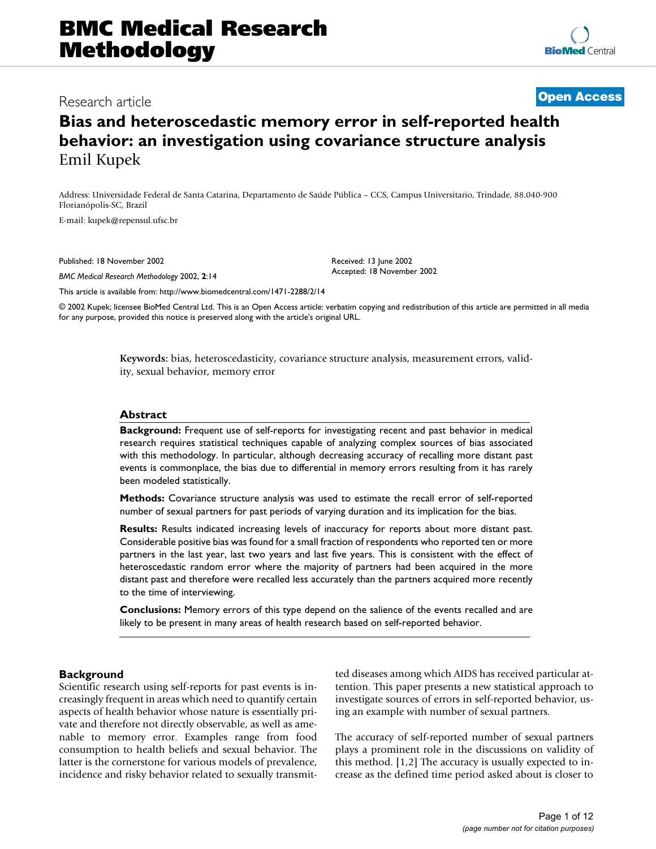# **BMC Medical Research Methodology**

# BMC Mesearch article **Contract Research Access** Research article 2002, 2 x  $\sigma$  **[Open Access](http://www.biomedcentral.com/info/about/charter/)** Research article

# **Bias and heteroscedastic memory error in self-reported health behavior: an investigation using covariance structure analysis** Emil Kupek

Address: Universidade Federal de Santa Catarina, Departamento de Saúde Pública – CCS, Campus Universitario, Trindade, 88.040-900 Florianópolis-SC, Brazil

E-mail: kupek@repensul.ufsc.br

Published: 18 November 2002

*BMC Medical Research Methodology* 2002, **2**:14

Received: 13 June 2002 Accepted: 18 November 2002

[This article is available from: http://www.biomedcentral.com/1471-2288/2/14](http://www.biomedcentral.com/1471-2288/2/14)

© 2002 Kupek; licensee BioMed Central Ltd. This is an Open Access article: verbatim copying and redistribution of this article are permitted in all media for any purpose, provided this notice is preserved along with the article's original URL.

> **Keywords:** bias, heteroscedasticity, covariance structure analysis, measurement errors, validity, sexual behavior, memory error

## **Abstract**

**Background:** Frequent use of self-reports for investigating recent and past behavior in medical research requires statistical techniques capable of analyzing complex sources of bias associated with this methodology. In particular, although decreasing accuracy of recalling more distant past events is commonplace, the bias due to differential in memory errors resulting from it has rarely been modeled statistically.

**Methods:** Covariance structure analysis was used to estimate the recall error of self-reported number of sexual partners for past periods of varying duration and its implication for the bias.

**Results:** Results indicated increasing levels of inaccuracy for reports about more distant past. Considerable positive bias was found for a small fraction of respondents who reported ten or more partners in the last year, last two years and last five years. This is consistent with the effect of heteroscedastic random error where the majority of partners had been acquired in the more distant past and therefore were recalled less accurately than the partners acquired more recently to the time of interviewing.

**Conclusions:** Memory errors of this type depend on the salience of the events recalled and are likely to be present in many areas of health research based on self-reported behavior.

### **Background**

Scientific research using self-reports for past events is increasingly frequent in areas which need to quantify certain aspects of health behavior whose nature is essentially private and therefore not directly observable, as well as amenable to memory error. Examples range from food consumption to health beliefs and sexual behavior. The latter is the cornerstone for various models of prevalence, incidence and risky behavior related to sexually transmitted diseases among which AIDS has received particular attention. This paper presents a new statistical approach to investigate sources of errors in self-reported behavior, using an example with number of sexual partners.

The accuracy of self-reported number of sexual partners plays a prominent role in the discussions on validity of this method. [1,2] The accuracy is usually expected to increase as the defined time period asked about is closer to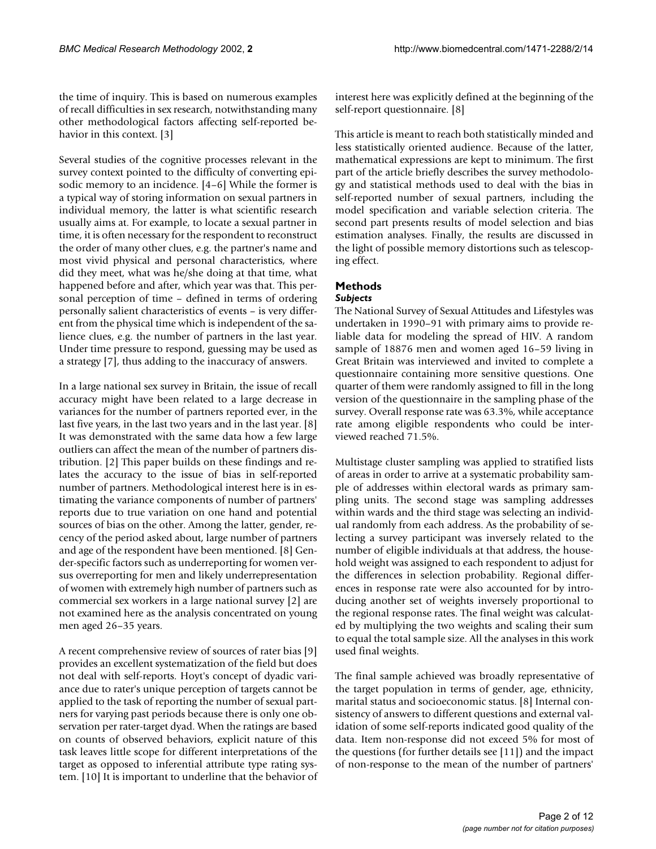the time of inquiry. This is based on numerous examples of recall difficulties in sex research, notwithstanding many other methodological factors affecting self-reported behavior in this context. [3]

Several studies of the cognitive processes relevant in the survey context pointed to the difficulty of converting episodic memory to an incidence. [4–6] While the former is a typical way of storing information on sexual partners in individual memory, the latter is what scientific research usually aims at. For example, to locate a sexual partner in time, it is often necessary for the respondent to reconstruct the order of many other clues, e.g. the partner's name and most vivid physical and personal characteristics, where did they meet, what was he/she doing at that time, what happened before and after, which year was that. This personal perception of time – defined in terms of ordering personally salient characteristics of events – is very different from the physical time which is independent of the salience clues, e.g. the number of partners in the last year. Under time pressure to respond, guessing may be used as a strategy [7], thus adding to the inaccuracy of answers.

In a large national sex survey in Britain, the issue of recall accuracy might have been related to a large decrease in variances for the number of partners reported ever, in the last five years, in the last two years and in the last year. [8] It was demonstrated with the same data how a few large outliers can affect the mean of the number of partners distribution. [2] This paper builds on these findings and relates the accuracy to the issue of bias in self-reported number of partners. Methodological interest here is in estimating the variance components of number of partners' reports due to true variation on one hand and potential sources of bias on the other. Among the latter, gender, recency of the period asked about, large number of partners and age of the respondent have been mentioned. [8] Gender-specific factors such as underreporting for women versus overreporting for men and likely underrepresentation of women with extremely high number of partners such as commercial sex workers in a large national survey [2] are not examined here as the analysis concentrated on young men aged 26–35 years.

A recent comprehensive review of sources of rater bias [9] provides an excellent systematization of the field but does not deal with self-reports. Hoyt's concept of dyadic variance due to rater's unique perception of targets cannot be applied to the task of reporting the number of sexual partners for varying past periods because there is only one observation per rater-target dyad. When the ratings are based on counts of observed behaviors, explicit nature of this task leaves little scope for different interpretations of the target as opposed to inferential attribute type rating system. [10] It is important to underline that the behavior of interest here was explicitly defined at the beginning of the self-report questionnaire. [8]

This article is meant to reach both statistically minded and less statistically oriented audience. Because of the latter, mathematical expressions are kept to minimum. The first part of the article briefly describes the survey methodology and statistical methods used to deal with the bias in self-reported number of sexual partners, including the model specification and variable selection criteria. The second part presents results of model selection and bias estimation analyses. Finally, the results are discussed in the light of possible memory distortions such as telescoping effect.

# **Methods**

# *Subjects*

The National Survey of Sexual Attitudes and Lifestyles was undertaken in 1990–91 with primary aims to provide reliable data for modeling the spread of HIV. A random sample of 18876 men and women aged 16–59 living in Great Britain was interviewed and invited to complete a questionnaire containing more sensitive questions. One quarter of them were randomly assigned to fill in the long version of the questionnaire in the sampling phase of the survey. Overall response rate was 63.3%, while acceptance rate among eligible respondents who could be interviewed reached 71.5%.

Multistage cluster sampling was applied to stratified lists of areas in order to arrive at a systematic probability sample of addresses within electoral wards as primary sampling units. The second stage was sampling addresses within wards and the third stage was selecting an individual randomly from each address. As the probability of selecting a survey participant was inversely related to the number of eligible individuals at that address, the household weight was assigned to each respondent to adjust for the differences in selection probability. Regional differences in response rate were also accounted for by introducing another set of weights inversely proportional to the regional response rates. The final weight was calculated by multiplying the two weights and scaling their sum to equal the total sample size. All the analyses in this work used final weights.

The final sample achieved was broadly representative of the target population in terms of gender, age, ethnicity, marital status and socioeconomic status. [8] Internal consistency of answers to different questions and external validation of some self-reports indicated good quality of the data. Item non-response did not exceed 5% for most of the questions (for further details see [11]) and the impact of non-response to the mean of the number of partners'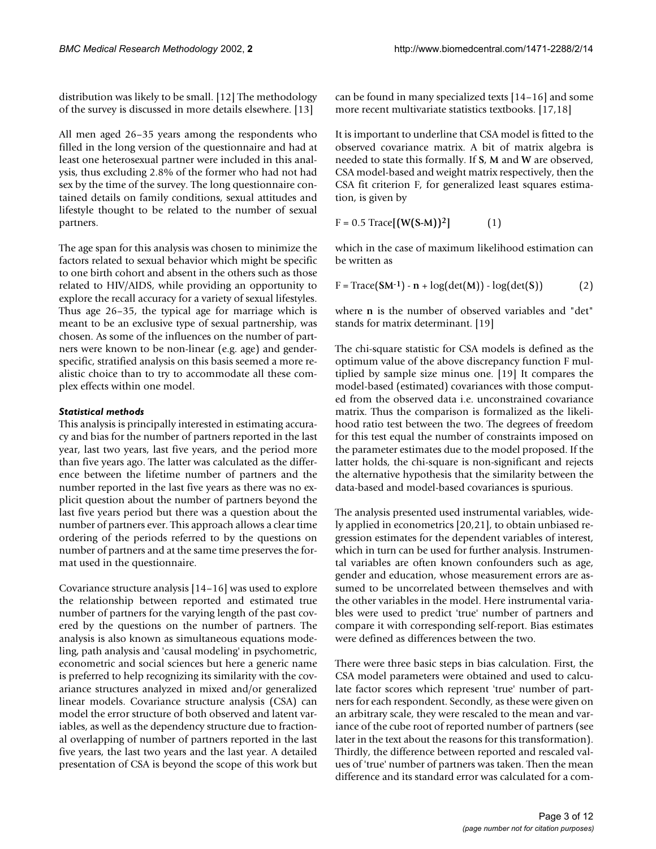distribution was likely to be small. [12] The methodology of the survey is discussed in more details elsewhere. [13]

All men aged 26–35 years among the respondents who filled in the long version of the questionnaire and had at least one heterosexual partner were included in this analysis, thus excluding 2.8% of the former who had not had sex by the time of the survey. The long questionnaire contained details on family conditions, sexual attitudes and lifestyle thought to be related to the number of sexual partners.

The age span for this analysis was chosen to minimize the factors related to sexual behavior which might be specific to one birth cohort and absent in the others such as those related to HIV/AIDS, while providing an opportunity to explore the recall accuracy for a variety of sexual lifestyles. Thus age 26–35, the typical age for marriage which is meant to be an exclusive type of sexual partnership, was chosen. As some of the influences on the number of partners were known to be non-linear (e.g. age) and genderspecific, stratified analysis on this basis seemed a more realistic choice than to try to accommodate all these complex effects within one model.

### *Statistical methods*

This analysis is principally interested in estimating accuracy and bias for the number of partners reported in the last year, last two years, last five years, and the period more than five years ago. The latter was calculated as the difference between the lifetime number of partners and the number reported in the last five years as there was no explicit question about the number of partners beyond the last five years period but there was a question about the number of partners ever. This approach allows a clear time ordering of the periods referred to by the questions on number of partners and at the same time preserves the format used in the questionnaire.

Covariance structure analysis [14–16] was used to explore the relationship between reported and estimated true number of partners for the varying length of the past covered by the questions on the number of partners. The analysis is also known as simultaneous equations modeling, path analysis and 'causal modeling' in psychometric, econometric and social sciences but here a generic name is preferred to help recognizing its similarity with the covariance structures analyzed in mixed and/or generalized linear models. Covariance structure analysis (CSA) can model the error structure of both observed and latent variables, as well as the dependency structure due to fractional overlapping of number of partners reported in the last five years, the last two years and the last year. A detailed presentation of CSA is beyond the scope of this work but can be found in many specialized texts [14–16] and some more recent multivariate statistics textbooks. [17,18]

It is important to underline that CSA model is fitted to the observed covariance matrix. A bit of matrix algebra is needed to state this formally. If **S**, **M** and **W** are observed, CSA model-based and weight matrix respectively, then the CSA fit criterion F, for generalized least squares estimation, is given by

$$
F = 0.5
$$
 Trace[(W(S-M))^2] (1)

which in the case of maximum likelihood estimation can be written as

$$
F = Trace(SM^{-1}) - n + log(det(M)) - log(det(S))
$$
 (2)

where **n** is the number of observed variables and "det" stands for matrix determinant. [19]

The chi-square statistic for CSA models is defined as the optimum value of the above discrepancy function F multiplied by sample size minus one. [19] It compares the model-based (estimated) covariances with those computed from the observed data i.e. unconstrained covariance matrix. Thus the comparison is formalized as the likelihood ratio test between the two. The degrees of freedom for this test equal the number of constraints imposed on the parameter estimates due to the model proposed. If the latter holds, the chi-square is non-significant and rejects the alternative hypothesis that the similarity between the data-based and model-based covariances is spurious.

The analysis presented used instrumental variables, widely applied in econometrics [20,21], to obtain unbiased regression estimates for the dependent variables of interest, which in turn can be used for further analysis. Instrumental variables are often known confounders such as age, gender and education, whose measurement errors are assumed to be uncorrelated between themselves and with the other variables in the model. Here instrumental variables were used to predict 'true' number of partners and compare it with corresponding self-report. Bias estimates were defined as differences between the two.

There were three basic steps in bias calculation. First, the CSA model parameters were obtained and used to calculate factor scores which represent 'true' number of partners for each respondent. Secondly, as these were given on an arbitrary scale, they were rescaled to the mean and variance of the cube root of reported number of partners (see later in the text about the reasons for this transformation). Thirdly, the difference between reported and rescaled values of 'true' number of partners was taken. Then the mean difference and its standard error was calculated for a com-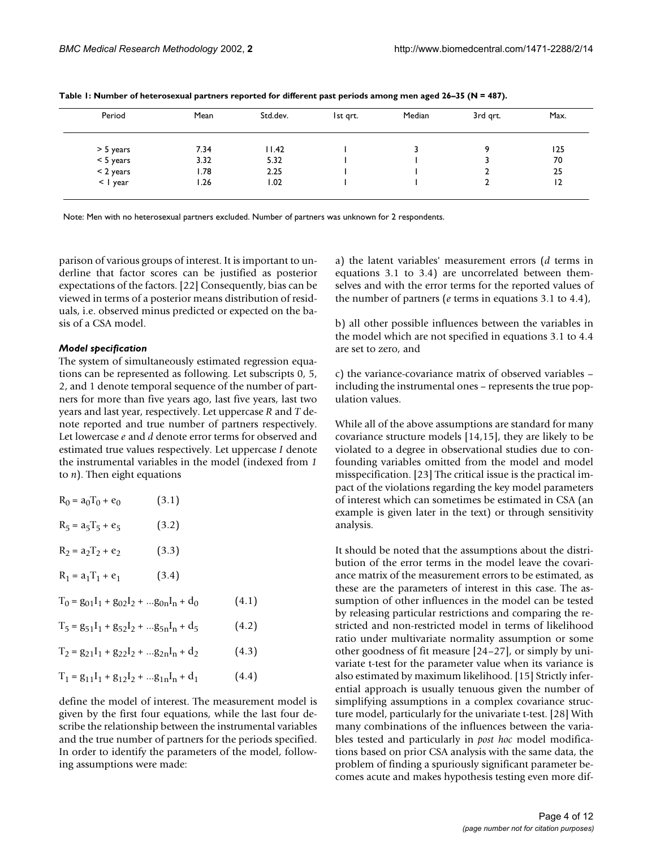| Period      | Mean | Std.dev. | Ist grt. | Median | 3rd grt. | Max. |
|-------------|------|----------|----------|--------|----------|------|
| > 5 years   | 7.34 | 11.42    |          |        |          | 125  |
| $< 5$ years | 3.32 | 5.32     |          |        |          | 70   |
| $<$ 2 years | I.78 | 2.25     |          |        |          | 25   |
| $<$   year  | 1.26 | 1.02     |          |        |          | 2    |

**Table 1: Number of heterosexual partners reported for different past periods among men aged 26–35 (N = 487).**

Note: Men with no heterosexual partners excluded. Number of partners was unknown for 2 respondents.

parison of various groups of interest. It is important to underline that factor scores can be justified as posterior expectations of the factors. [22] Consequently, bias can be viewed in terms of a posterior means distribution of residuals, i.e. observed minus predicted or expected on the basis of a CSA model.

#### *Model specification*

The system of simultaneously estimated regression equations can be represented as following. Let subscripts 0, 5, 2, and 1 denote temporal sequence of the number of partners for more than five years ago, last five years, last two years and last year, respectively. Let uppercase *R* and *T* denote reported and true number of partners respectively. Let lowercase *e* and *d* denote error terms for observed and estimated true values respectively. Let uppercase *I* denote the instrumental variables in the model (indexed from *1* to *n*). Then eight equations

| $R_0 = a_0 T_0 + e_0$                            | (3.1) |       |
|--------------------------------------------------|-------|-------|
| $R_5 = a_5T_5 + e_5$                             | (3.2) |       |
| $R_2 = a_2T_2 + e_2$                             | (3.3) |       |
| $R_1 = a_1T_1 + e_1$                             | (3.4) |       |
| $T_0 = g_{01}I_1 + g_{02}I_2 +  g_{0n}I_n + d_0$ |       | (4.1) |
| $T_5 = g_{51}I_1 + g_{52}I_2 +  g_{5n}I_n + d_5$ |       | (4.2) |
| $T_2 = g_{21}I_1 + g_{22}I_2 +  g_{2n}I_n + d_2$ |       | (4.3) |
| $T_1 = g_{11}I_1 + g_{12}I_2 +  g_{1n}I_n + d_1$ |       | (4.4) |
|                                                  |       |       |

define the model of interest. The measurement model is given by the first four equations, while the last four describe the relationship between the instrumental variables and the true number of partners for the periods specified. In order to identify the parameters of the model, following assumptions were made:

a) the latent variables' measurement errors (*d* terms in equations 3.1 to 3.4) are uncorrelated between themselves and with the error terms for the reported values of the number of partners (*e* terms in equations 3.1 to 4.4),

b) all other possible influences between the variables in the model which are not specified in equations 3.1 to 4.4 are set to zero, and

c) the variance-covariance matrix of observed variables – including the instrumental ones – represents the true population values.

<span id="page-3-0"></span>While all of the above assumptions are standard for many covariance structure models [14,15], they are likely to be violated to a degree in observational studies due to confounding variables omitted from the model and model misspecification. [23] The critical issue is the practical impact of the violations regarding the key model parameters of interest which can sometimes be estimated in CSA (an example is given later in the text) or through sensitivity analysis.

It should be noted that the assumptions about the distribution of the error terms in the model leave the covariance matrix of the measurement errors to be estimated, as these are the parameters of interest in this case. The assumption of other influences in the model can be tested by releasing particular restrictions and comparing the restricted and non-restricted model in terms of likelihood ratio under multivariate normality assumption or some other goodness of fit measure [24–27], or simply by univariate t-test for the parameter value when its variance is also estimated by maximum likelihood. [15] Strictly inferential approach is usually tenuous given the number of simplifying assumptions in a complex covariance structure model, particularly for the univariate t-test. [28] With many combinations of the influences between the variables tested and particularly in *post hoc* model modifications based on prior CSA analysis with the same data, the problem of finding a spuriously significant parameter becomes acute and makes hypothesis testing even more dif-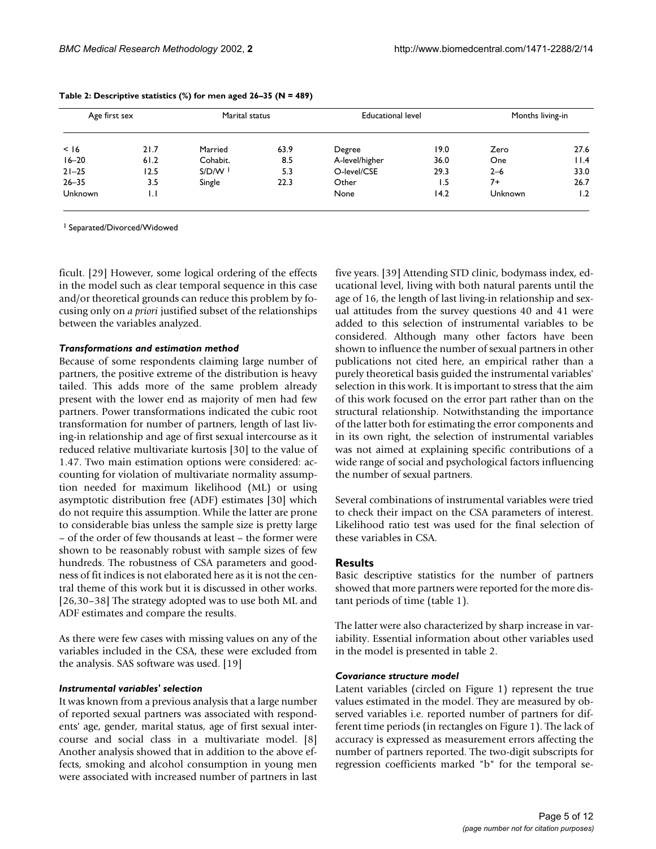| Age first sex |      | Marital status |      | <b>Educational level</b> |      | Months living-in |      |
|---------------|------|----------------|------|--------------------------|------|------------------|------|
| < 16          | 21.7 | Married        | 63.9 | Degree                   | 19.0 | Zero             | 27.6 |
| $16 - 20$     | 61.2 | Cohabit.       | 8.5  | A-level/higher           | 36.0 | One              | 11.4 |
| $21 - 25$     | 12.5 | S/D/W          | 5.3  | O-level/CSE              | 29.3 | $2 - 6$          | 33.0 |
| $26 - 35$     | 3.5  | Single         | 22.3 | Other                    | 1.5  | $7+$             | 26.7 |
| Unknown       | IJ   |                |      | None                     | 14.2 | Unknown          | 1.2  |

1 Separated/Divorced/Widowed

ficult. [29] However, some logical ordering of the effects in the model such as clear temporal sequence in this case and/or theoretical grounds can reduce this problem by focusing only on *a priori* justified subset of the relationships between the variables analyzed.

#### *Transformations and estimation method*

Because of some respondents claiming large number of partners, the positive extreme of the distribution is heavy tailed. This adds more of the same problem already present with the lower end as majority of men had few partners. Power transformations indicated the cubic root transformation for number of partners, length of last living-in relationship and age of first sexual intercourse as it reduced relative multivariate kurtosis [30] to the value of 1.47. Two main estimation options were considered: accounting for violation of multivariate normality assumption needed for maximum likelihood (ML) or using asymptotic distribution free (ADF) estimates [30] which do not require this assumption. While the latter are prone to considerable bias unless the sample size is pretty large – of the order of few thousands at least – the former were shown to be reasonably robust with sample sizes of few hundreds. The robustness of CSA parameters and goodness of fit indices is not elaborated here as it is not the central theme of this work but it is discussed in other works. [26,30–38] The strategy adopted was to use both ML and ADF estimates and compare the results.

As there were few cases with missing values on any of the variables included in the CSA, these were excluded from the analysis. SAS software was used. [19]

#### *Instrumental variables' selection*

It was known from a previous analysis that a large number of reported sexual partners was associated with respondents' age, gender, marital status, age of first sexual intercourse and social class in a multivariate model. [8] Another analysis showed that in addition to the above effects, smoking and alcohol consumption in young men were associated with increased number of partners in last

five years. [39] Attending STD clinic, bodymass index, educational level, living with both natural parents until the age of 16, the length of last living-in relationship and sexual attitudes from the survey questions 40 and 41 were added to this selection of instrumental variables to be considered. Although many other factors have been shown to influence the number of sexual partners in other publications not cited here, an empirical rather than a purely theoretical basis guided the instrumental variables' selection in this work. It is important to stress that the aim of this work focused on the error part rather than on the structural relationship. Notwithstanding the importance of the latter both for estimating the error components and in its own right, the selection of instrumental variables was not aimed at explaining specific contributions of a wide range of social and psychological factors influencing the number of sexual partners.

Several combinations of instrumental variables were tried to check their impact on the CSA parameters of interest. Likelihood ratio test was used for the final selection of these variables in CSA.

#### **Results**

Basic descriptive statistics for the number of partners showed that more partners were reported for the more distant periods of time (table 1).

The latter were also characterized by sharp increase in variability. Essential information about other variables used in the model is presented in table [2](#page-3-0).

#### *Covariance structure model*

Latent variables (circled on Figure 1) represent the true values estimated in the model. They are measured by observed variables i.e. reported number of partners for different time periods (in rectangles on Figure 1). The lack of accuracy is expressed as measurement errors affecting the number of partners reported. The two-digit subscripts for regression coefficients marked "b" for the temporal se-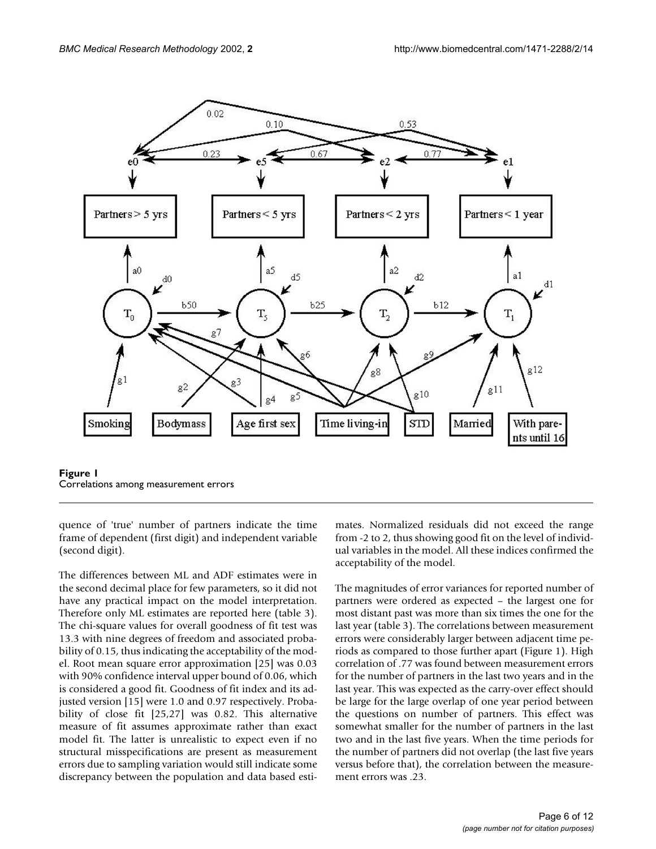

quence of 'true' number of partners indicate the time frame of dependent (first digit) and independent variable (second digit).

The differences between ML and ADF estimates were in the second decimal place for few parameters, so it did not have any practical impact on the model interpretation. Therefore only ML estimates are reported here (table 3). The chi-square values for overall goodness of fit test was 13.3 with nine degrees of freedom and associated probability of 0.15, thus indicating the acceptability of the model. Root mean square error approximation [25] was 0.03 with 90% confidence interval upper bound of 0.06, which is considered a good fit. Goodness of fit index and its adjusted version [15] were 1.0 and 0.97 respectively. Probability of close fit [25,27] was 0.82. This alternative measure of fit assumes approximate rather than exact model fit. The latter is unrealistic to expect even if no structural misspecifications are present as measurement errors due to sampling variation would still indicate some discrepancy between the population and data based estimates. Normalized residuals did not exceed the range from -2 to 2, thus showing good fit on the level of individual variables in the model. All these indices confirmed the acceptability of the model.

The magnitudes of error variances for reported number of partners were ordered as expected – the largest one for most distant past was more than six times the one for the last year (table 3). The correlations between measurement errors were considerably larger between adjacent time periods as compared to those further apart (Figure 1). High correlation of .77 was found between measurement errors for the number of partners in the last two years and in the last year. This was expected as the carry-over effect should be large for the large overlap of one year period between the questions on number of partners. This effect was somewhat smaller for the number of partners in the last two and in the last five years. When the time periods for the number of partners did not overlap (the last five years versus before that), the correlation between the measurement errors was .23.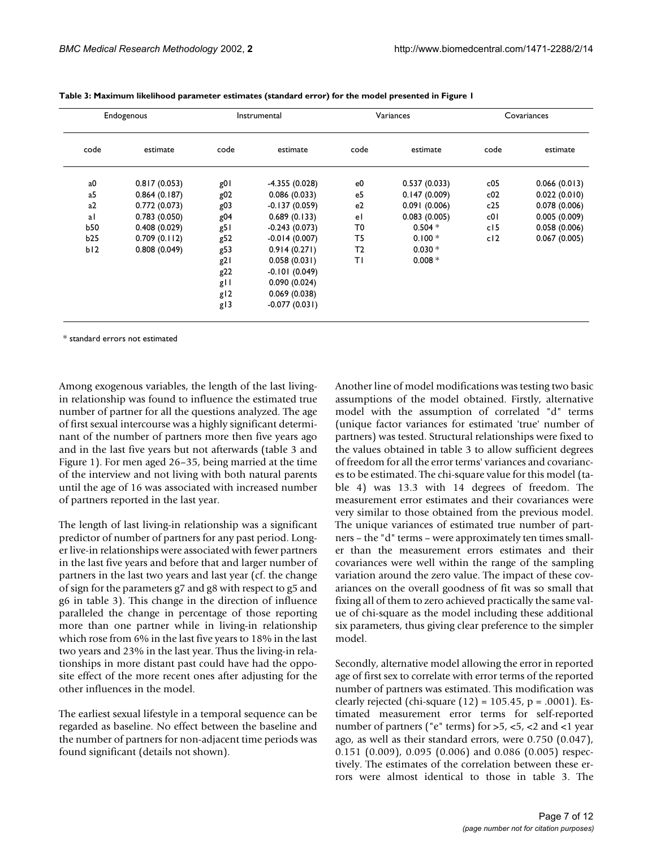| Endogenous     |              | Instrumental |                 | Variances      |              | Covariances |              |
|----------------|--------------|--------------|-----------------|----------------|--------------|-------------|--------------|
| code           | estimate     | code         | estimate        | code           | estimate     | code        | estimate     |
| a <sub>0</sub> | 0.817(0.053) | g0 l         | $-4.355(0.028)$ | e0             | 0.537(0.033) | c05         | 0.066(0.013) |
| a5             | 0.864(0.187) | g02          | 0.086(0.033)    | e5             | 0.147(0.009) | c02         | 0.022(0.010) |
| a <sub>2</sub> | 0.772(0.073) | g03          | $-0.137(0.059)$ | e <sub>2</sub> | 0.091(0.006) | c25         | 0.078(0.006) |
| al             | 0.783(0.050) | g04          | 0.689(0.133)    | el             | 0.083(0.005) | c01         | 0.005(0.009) |
| <b>b50</b>     | 0.408(0.029) | g51          | $-0.243(0.073)$ | T0             | $0.504*$     | c15         | 0.058(0.006) |
| b25            | 0.709(0.112) | g52          | $-0.014(0.007)$ | T5             | $0.100 *$    | c12         | 0.067(0.005) |
| b12            | 0.808(0.049) | g53          | 0.914(0.271)    | T <sub>2</sub> | $0.030 *$    |             |              |
|                |              | g21          | 0.058(0.031)    | ΤI             | $0.008 *$    |             |              |
|                |              | g22          | $-0.101(0.049)$ |                |              |             |              |
|                |              | gll          | 0.090(0.024)    |                |              |             |              |
|                |              | g12          | 0.069(0.038)    |                |              |             |              |
|                |              | g13          | $-0.077(0.031)$ |                |              |             |              |

| Table 3: Maximum likelihood parameter estimates (standard error) for the model presented in Figure 1 |  |  |  |
|------------------------------------------------------------------------------------------------------|--|--|--|
|------------------------------------------------------------------------------------------------------|--|--|--|

\* standard errors not estimated

Among exogenous variables, the length of the last livingin relationship was found to influence the estimated true number of partner for all the questions analyzed. The age of first sexual intercourse was a highly significant determinant of the number of partners more then five years ago and in the last five years but not afterwards (table 3 and Figure 1). For men aged 26–35, being married at the time of the interview and not living with both natural parents until the age of 16 was associated with increased number of partners reported in the last year.

The length of last living-in relationship was a significant predictor of number of partners for any past period. Longer live-in relationships were associated with fewer partners in the last five years and before that and larger number of partners in the last two years and last year (cf. the change of sign for the parameters g7 and g8 with respect to g5 and g6 in table 3). This change in the direction of influence paralleled the change in percentage of those reporting more than one partner while in living-in relationship which rose from 6% in the last five years to 18% in the last two years and 23% in the last year. Thus the living-in relationships in more distant past could have had the opposite effect of the more recent ones after adjusting for the other influences in the model.

The earliest sexual lifestyle in a temporal sequence can be regarded as baseline. No effect between the baseline and the number of partners for non-adjacent time periods was found significant (details not shown).

Another line of model modifications was testing two basic assumptions of the model obtained. Firstly, alternative model with the assumption of correlated "d" terms (unique factor variances for estimated 'true' number of partners) was tested. Structural relationships were fixed to the values obtained in table 3 to allow sufficient degrees of freedom for all the error terms' variances and covariances to be estimated. The chi-square value for this model (table 4) was 13.3 with 14 degrees of freedom. The measurement error estimates and their covariances were very similar to those obtained from the previous model. The unique variances of estimated true number of partners – the "d" terms – were approximately ten times smaller than the measurement errors estimates and their covariances were well within the range of the sampling variation around the zero value. The impact of these covariances on the overall goodness of fit was so small that fixing all of them to zero achieved practically the same value of chi-square as the model including these additional six parameters, thus giving clear preference to the simpler model.

Secondly, alternative model allowing the error in reported age of first sex to correlate with error terms of the reported number of partners was estimated. This modification was clearly rejected (chi-square  $(12) = 105.45$ , p = .0001). Estimated measurement error terms for self-reported number of partners ("e" terms) for  $>5$ ,  $<5$ ,  $<2$  and  $<1$  year ago, as well as their standard errors, were 0.750 (0.047), 0.151 (0.009), 0.095 (0.006) and 0.086 (0.005) respectively. The estimates of the correlation between these errors were almost identical to those in table 3. The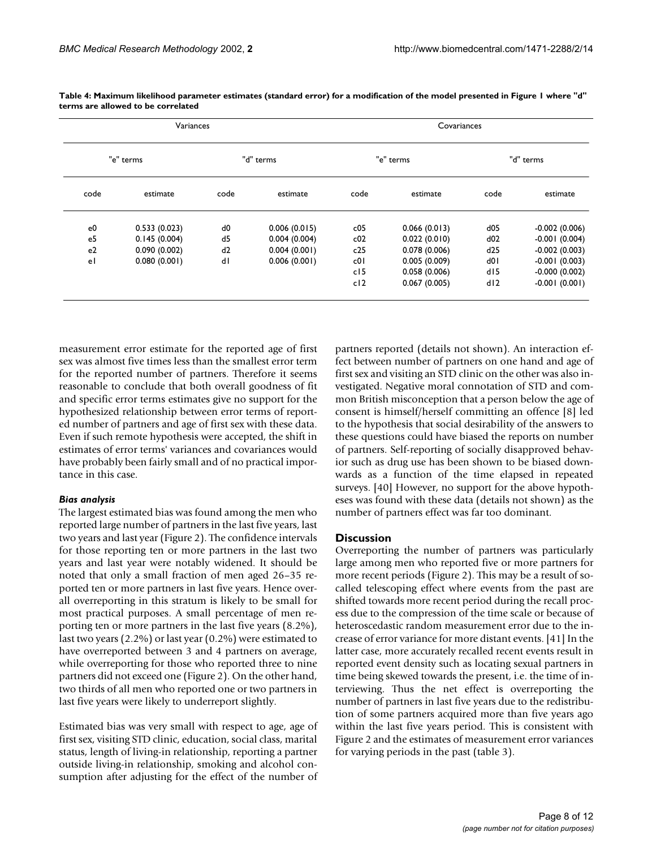| "e" terms                      |                |              |           |              |           |                 |
|--------------------------------|----------------|--------------|-----------|--------------|-----------|-----------------|
|                                | "d" terms      |              | "e" terms |              | "d" terms |                 |
| code<br>estimate               | code           | estimate     | code      | estimate     | code      | estimate        |
| e <sub>0</sub><br>0.533(0.023) | d <sub>0</sub> | 0.006(0.015) | c05       | 0.066(0.013) | d05       | $-0.002(0.006)$ |
| e5<br>0.145(0.004)             | d5             | 0.004(0.004) | c02       | 0.022(0.010) | d02       | $-0.001(0.004)$ |
| e <sub>2</sub><br>0.090(0.002) | d2             | 0.004(0.001) | c25       | 0.078(0.006) | d25       | $-0.002(0.003)$ |
| 0.080(0.001)<br>el             | dl             | 0.006(0.001) | c01       | 0.005(0.009) | d01       | $-0.001(0.003)$ |
|                                |                |              | c15       | 0.058(0.006) | d15       | $-0.000(0.002)$ |
|                                |                |              | c12       | 0.067(0.005) | d12       | $-0.001(0.001)$ |

**Table 4: Maximum likelihood parameter estimates (standard error) for a modification of the model presented in Figure 1 where "d" terms are allowed to be correlated**

measurement error estimate for the reported age of first sex was almost five times less than the smallest error term for the reported number of partners. Therefore it seems reasonable to conclude that both overall goodness of fit and specific error terms estimates give no support for the hypothesized relationship between error terms of reported number of partners and age of first sex with these data. Even if such remote hypothesis were accepted, the shift in estimates of error terms' variances and covariances would have probably been fairly small and of no practical importance in this case.

# *Bias analysis*

The largest estimated bias was found among the men who reported large number of partners in the last five years, last two years and last year (Figure 2). The confidence intervals for those reporting ten or more partners in the last two years and last year were notably widened. It should be noted that only a small fraction of men aged 26–35 reported ten or more partners in last five years. Hence overall overreporting in this stratum is likely to be small for most practical purposes. A small percentage of men reporting ten or more partners in the last five years (8.2%), last two years (2.2%) or last year (0.2%) were estimated to have overreported between 3 and 4 partners on average, while overreporting for those who reported three to nine partners did not exceed one (Figure 2). On the other hand, two thirds of all men who reported one or two partners in last five years were likely to underreport slightly.

Estimated bias was very small with respect to age, age of first sex, visiting STD clinic, education, social class, marital status, length of living-in relationship, reporting a partner outside living-in relationship, smoking and alcohol consumption after adjusting for the effect of the number of partners reported (details not shown). An interaction effect between number of partners on one hand and age of first sex and visiting an STD clinic on the other was also investigated. Negative moral connotation of STD and common British misconception that a person below the age of consent is himself/herself committing an offence [8] led to the hypothesis that social desirability of the answers to these questions could have biased the reports on number of partners. Self-reporting of socially disapproved behavior such as drug use has been shown to be biased downwards as a function of the time elapsed in repeated surveys. [40] However, no support for the above hypotheses was found with these data (details not shown) as the number of partners effect was far too dominant.

# **Discussion**

Overreporting the number of partners was particularly large among men who reported five or more partners for more recent periods (Figure 2). This may be a result of socalled telescoping effect where events from the past are shifted towards more recent period during the recall process due to the compression of the time scale or because of heteroscedastic random measurement error due to the increase of error variance for more distant events. [41] In the latter case, more accurately recalled recent events result in reported event density such as locating sexual partners in time being skewed towards the present, i.e. the time of interviewing. Thus the net effect is overreporting the number of partners in last five years due to the redistribution of some partners acquired more than five years ago within the last five years period. This is consistent with Figure 2 and the estimates of measurement error variances for varying periods in the past (table 3).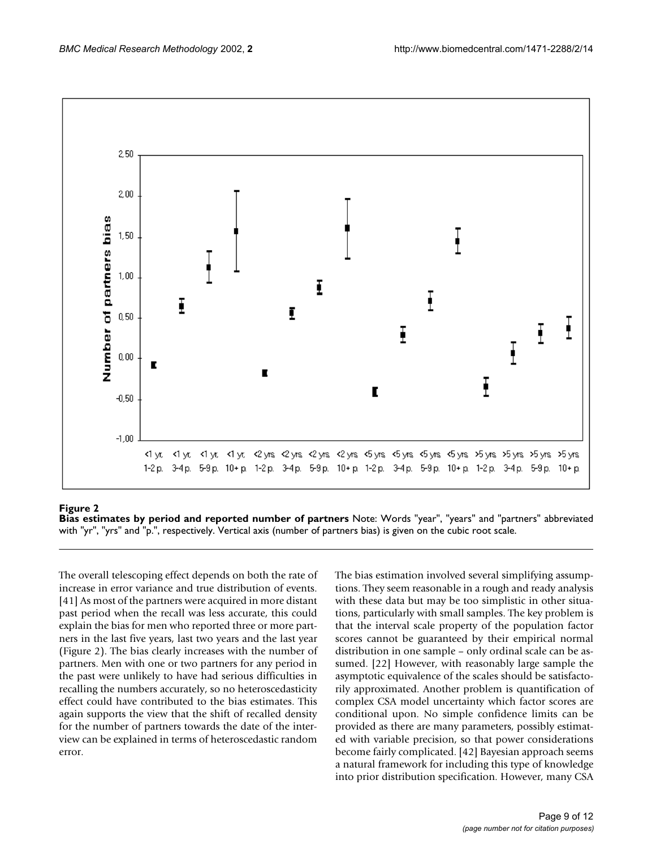

#### **Figure 2**

**Bias estimates by period and reported number of partners** Note: Words "year", "years" and "partners" abbreviated with "yr", "yrs" and "p.", respectively. Vertical axis (number of partners bias) is given on the cubic root scale.

The overall telescoping effect depends on both the rate of increase in error variance and true distribution of events. [41] As most of the partners were acquired in more distant past period when the recall was less accurate, this could explain the bias for men who reported three or more partners in the last five years, last two years and the last year (Figure 2). The bias clearly increases with the number of partners. Men with one or two partners for any period in the past were unlikely to have had serious difficulties in recalling the numbers accurately, so no heteroscedasticity effect could have contributed to the bias estimates. This again supports the view that the shift of recalled density for the number of partners towards the date of the interview can be explained in terms of heteroscedastic random error.

The bias estimation involved several simplifying assumptions. They seem reasonable in a rough and ready analysis with these data but may be too simplistic in other situations, particularly with small samples. The key problem is that the interval scale property of the population factor scores cannot be guaranteed by their empirical normal distribution in one sample – only ordinal scale can be assumed. [22] However, with reasonably large sample the asymptotic equivalence of the scales should be satisfactorily approximated. Another problem is quantification of complex CSA model uncertainty which factor scores are conditional upon. No simple confidence limits can be provided as there are many parameters, possibly estimated with variable precision, so that power considerations become fairly complicated. [42] Bayesian approach seems a natural framework for including this type of knowledge into prior distribution specification. However, many CSA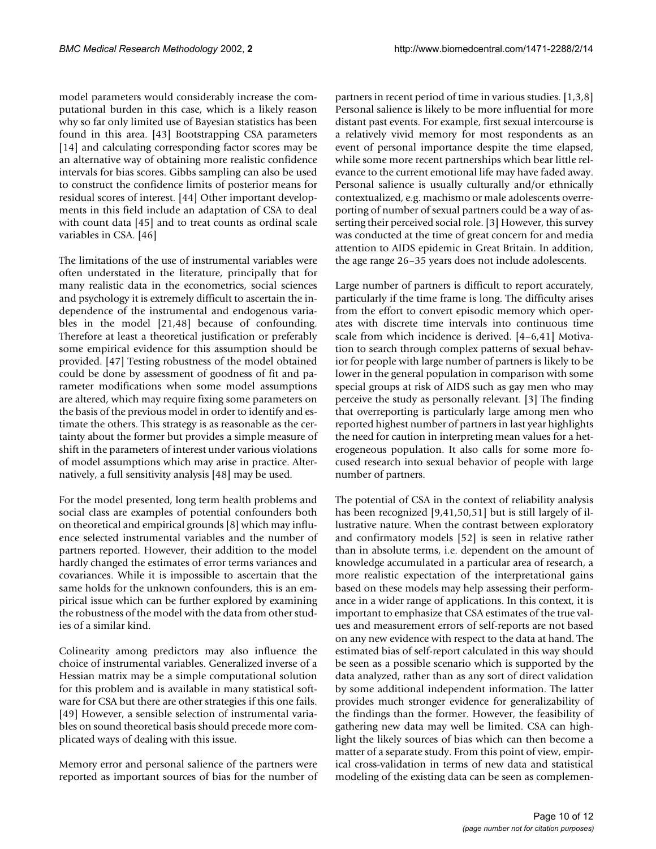model parameters would considerably increase the computational burden in this case, which is a likely reason why so far only limited use of Bayesian statistics has been found in this area. [43] Bootstrapping CSA parameters [14] and calculating corresponding factor scores may be an alternative way of obtaining more realistic confidence intervals for bias scores. Gibbs sampling can also be used to construct the confidence limits of posterior means for residual scores of interest. [44] Other important developments in this field include an adaptation of CSA to deal with count data [45] and to treat counts as ordinal scale variables in CSA. [46]

The limitations of the use of instrumental variables were often understated in the literature, principally that for many realistic data in the econometrics, social sciences and psychology it is extremely difficult to ascertain the independence of the instrumental and endogenous variables in the model [21,48] because of confounding. Therefore at least a theoretical justification or preferably some empirical evidence for this assumption should be provided. [47] Testing robustness of the model obtained could be done by assessment of goodness of fit and parameter modifications when some model assumptions are altered, which may require fixing some parameters on the basis of the previous model in order to identify and estimate the others. This strategy is as reasonable as the certainty about the former but provides a simple measure of shift in the parameters of interest under various violations of model assumptions which may arise in practice. Alternatively, a full sensitivity analysis [48] may be used.

For the model presented, long term health problems and social class are examples of potential confounders both on theoretical and empirical grounds [8] which may influence selected instrumental variables and the number of partners reported. However, their addition to the model hardly changed the estimates of error terms variances and covariances. While it is impossible to ascertain that the same holds for the unknown confounders, this is an empirical issue which can be further explored by examining the robustness of the model with the data from other studies of a similar kind.

Colinearity among predictors may also influence the choice of instrumental variables. Generalized inverse of a Hessian matrix may be a simple computational solution for this problem and is available in many statistical software for CSA but there are other strategies if this one fails. [49] However, a sensible selection of instrumental variables on sound theoretical basis should precede more complicated ways of dealing with this issue.

Memory error and personal salience of the partners were reported as important sources of bias for the number of partners in recent period of time in various studies. [1,3,8] Personal salience is likely to be more influential for more distant past events. For example, first sexual intercourse is a relatively vivid memory for most respondents as an event of personal importance despite the time elapsed, while some more recent partnerships which bear little relevance to the current emotional life may have faded away. Personal salience is usually culturally and/or ethnically contextualized, e.g. machismo or male adolescents overreporting of number of sexual partners could be a way of asserting their perceived social role. [3] However, this survey was conducted at the time of great concern for and media attention to AIDS epidemic in Great Britain. In addition, the age range 26–35 years does not include adolescents.

Large number of partners is difficult to report accurately, particularly if the time frame is long. The difficulty arises from the effort to convert episodic memory which operates with discrete time intervals into continuous time scale from which incidence is derived. [4–6,41] Motivation to search through complex patterns of sexual behavior for people with large number of partners is likely to be lower in the general population in comparison with some special groups at risk of AIDS such as gay men who may perceive the study as personally relevant. [3] The finding that overreporting is particularly large among men who reported highest number of partners in last year highlights the need for caution in interpreting mean values for a heterogeneous population. It also calls for some more focused research into sexual behavior of people with large number of partners.

The potential of CSA in the context of reliability analysis has been recognized [9,41,50,51] but is still largely of illustrative nature. When the contrast between exploratory and confirmatory models [52] is seen in relative rather than in absolute terms, i.e. dependent on the amount of knowledge accumulated in a particular area of research, a more realistic expectation of the interpretational gains based on these models may help assessing their performance in a wider range of applications. In this context, it is important to emphasize that CSA estimates of the true values and measurement errors of self-reports are not based on any new evidence with respect to the data at hand. The estimated bias of self-report calculated in this way should be seen as a possible scenario which is supported by the data analyzed, rather than as any sort of direct validation by some additional independent information. The latter provides much stronger evidence for generalizability of the findings than the former. However, the feasibility of gathering new data may well be limited. CSA can highlight the likely sources of bias which can then become a matter of a separate study. From this point of view, empirical cross-validation in terms of new data and statistical modeling of the existing data can be seen as complemen-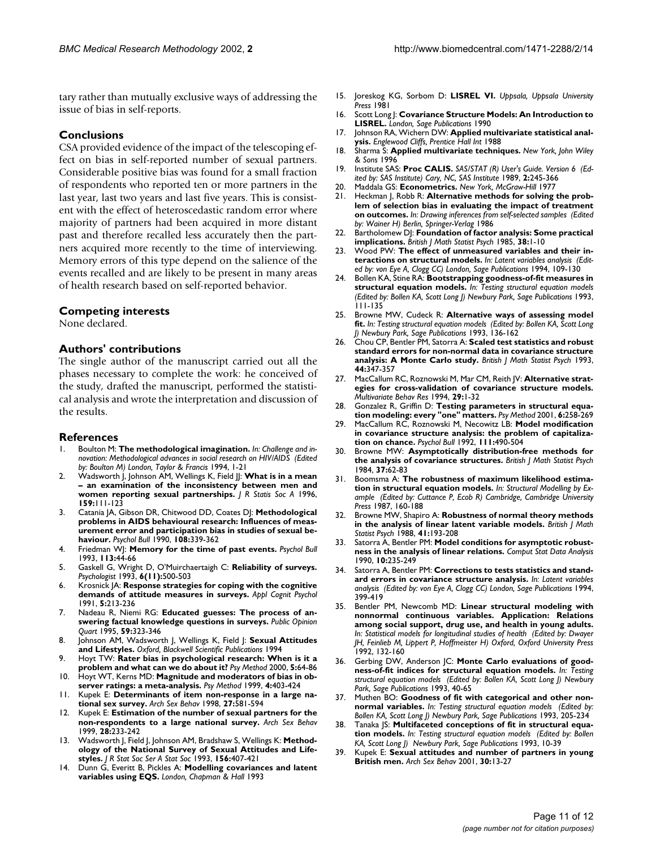tary rather than mutually exclusive ways of addressing the issue of bias in self-reports.

# **Conclusions**

CSA provided evidence of the impact of the telescoping effect on bias in self-reported number of sexual partners. Considerable positive bias was found for a small fraction of respondents who reported ten or more partners in the last year, last two years and last five years. This is consistent with the effect of heteroscedastic random error where majority of partners had been acquired in more distant past and therefore recalled less accurately then the partners acquired more recently to the time of interviewing. Memory errors of this type depend on the salience of the events recalled and are likely to be present in many areas of health research based on self-reported behavior.

## **Competing interests**

None declared.

### **Authors' contributions**

The single author of the manuscript carried out all the phases necessary to complete the work: he conceived of the study, drafted the manuscript, performed the statistical analysis and wrote the interpretation and discussion of the results.

### **References**

- 1. Boulton M: **The methodological imagination.** *In: Challenge and innovation: Methodological advances in social research on HIV/AIDS (Edited by: Boulton M) London, Taylor & Francis* 1994, 1-21
- 2. Wadsworth J, Johnson AM, Wellings K, Field JJ: **What is in a mean – an examination of the inconsistency between men and women reporting sexual partnerships.** *J R Statis Soc A* 1996, **159:**111-123
- 3. [Catania JA, Gibson DR, Chitwood DD, Coates DJ:](http://www.ncbi.nlm.nih.gov/entrez/query.fcgi?cmd=Retrieve&db=PubMed&dopt=Abstract&list_uids=2270232) **[Methodological](http://www.ncbi.nlm.nih.gov/entrez/query.fcgi?cmd=Retrieve&db=PubMed&dopt=Abstract&list_uids=2270232) [problems in AIDS behavioural research: Influences of meas](http://www.ncbi.nlm.nih.gov/entrez/query.fcgi?cmd=Retrieve&db=PubMed&dopt=Abstract&list_uids=2270232)urement error and participation bias in studies of sexual be[haviour.](http://www.ncbi.nlm.nih.gov/entrez/query.fcgi?cmd=Retrieve&db=PubMed&dopt=Abstract&list_uids=2270232)** *Psychol Bull* 1990, **108:**339-362
- 4. Friedman WJ: **Memory for the time of past events.** *Psychol Bull* 1993, **113:**44-66
- 5. Gaskell G, Wright D, O'Muirchaertaigh C: **Reliability of surveys.** *Psychologist* 1993, **6(11):**500-503
- 6. Krosnick JA: **Response strategies for coping with the cognitive demands of attitude measures in surveys.** *Appl Cognit Psychol* 1991, **5:**213-236
- 7. Nadeau R, Niemi RG: **Educated guesses: The process of answering factual knowledge questions in surveys.** *Public Opinion Quart* 1995, **59:**323-346
- 8. Johnson AM, Wadsworth J, Wellings K, Field J: **Sexual Attitudes and Lifestyles.** *Oxford, Blackwell Scientific Publications* 1994
- 9. Hoyt TW: **Rater bias in psychological research: When is it a problem and what can we do about it?** *Psy Method* 2000, **5:**64-86
- 10. Hoyt WT, Kerns MD: **Magnitude and moderators of bias in observer ratings: a meta-analysis.** *Psy Method* 1999, **4:**403-424
- 11. [Kupek E:](http://www.ncbi.nlm.nih.gov/entrez/query.fcgi?cmd=Retrieve&db=PubMed&dopt=Abstract&list_uids=9883306) **[Determinants of item non-response in a large na](http://www.ncbi.nlm.nih.gov/entrez/query.fcgi?cmd=Retrieve&db=PubMed&dopt=Abstract&list_uids=9883306)[tional sex survey.](http://www.ncbi.nlm.nih.gov/entrez/query.fcgi?cmd=Retrieve&db=PubMed&dopt=Abstract&list_uids=9883306)** *Arch Sex Behav* 1998, **27:**581-594
- 12. [Kupek E:](http://www.ncbi.nlm.nih.gov/entrez/query.fcgi?cmd=Retrieve&db=PubMed&dopt=Abstract&list_uids=10410199) **[Estimation of the number of sexual partners for the](http://www.ncbi.nlm.nih.gov/entrez/query.fcgi?cmd=Retrieve&db=PubMed&dopt=Abstract&list_uids=10410199) [non-respondents to a large national survey.](http://www.ncbi.nlm.nih.gov/entrez/query.fcgi?cmd=Retrieve&db=PubMed&dopt=Abstract&list_uids=10410199)** *Arch Sex Behav* 1999, **28:**233-242
- 13. [Wadsworth J, Field J, Johnson AM, Bradshaw S, Wellings K:](http://www.ncbi.nlm.nih.gov/entrez/query.fcgi?cmd=Retrieve&db=PubMed&dopt=Abstract&list_uids=12159129) **[Method](http://www.ncbi.nlm.nih.gov/entrez/query.fcgi?cmd=Retrieve&db=PubMed&dopt=Abstract&list_uids=12159129)[ology of the National Survey of Sexual Attitudes and Life](http://www.ncbi.nlm.nih.gov/entrez/query.fcgi?cmd=Retrieve&db=PubMed&dopt=Abstract&list_uids=12159129)[styles.](http://www.ncbi.nlm.nih.gov/entrez/query.fcgi?cmd=Retrieve&db=PubMed&dopt=Abstract&list_uids=12159129)** *J R Stat Soc Ser A Stat Soc* 1993, **156:**407-421
- 14. Dunn G, Everitt B, Pickles A: **Modelling covariances and latent variables using EQS.** *London, Chapman & Hall* 1993
- 15. Joreskog KG, Sorbom D: **LISREL VI.** *Uppsala, Uppsala University Press* 1981
- 16. Scott Long J: **Covariance Structure Models: An Introduction to LISREL.** *London, Sage Publications* 1990
- 17. Johnson RA, Wichern DW: **Applied multivariate statistical analysis.** *Englewood Cliffs, Prentice Hall Int* 1988
- 18. Sharma S: **Applied multivariate techniques.** *New York, John Wiley & Sons* 1996
- 19. Institute SAS: **Proc CALIS.** *SAS/STAT (R) User's Guide. Version 6 (Edited by: SAS Institute) Cary, NC, SAS Institute* 1989, **2:**245-366
- 20. Maddala GS: **Econometrics.** *New York, McGraw-Hill* 1977
- 21. Heckman J, Robb R: **Alternative methods for solving the problem of selection bias in evaluating the impact of treatment on outcomes.** *In: Drawing inferences from self-selected samples (Edited by: Wainer H) Berlin, Springer-Verlag* 1986
- 22. Bartholomew DJ: **Foundation of factor analysis: Some practical implications.** *British J Math Statist Psych* 1985, **38:**1-10
- 23. Wood PW: **The effect of unmeasured variables and their interactions on structural models.** *In: Latent variables analysis (Edited by: von Eye A, Clogg CC) London, Sage Publications* 1994, 109-130
- 24. Bollen KA, Stine RA: **Bootstrapping goodness-of-fit measures in structural equation models.** *In: Testing structural equation models (Edited by: Bollen KA, Scott Long J) Newbury Park, Sage Publications* 1993, 111-135
- 25. Browne MW, Cudeck R: **Alternative ways of assessing model fit.** *In: Testing structural equation models (Edited by: Bollen KA, Scott Long J) Newbury Park, Sage Publications* 1993, 136-162
- 26. Chou CP, Bentler PM, Satorra A: **Scaled test statistics and robust standard errors for non-normal data in covariance structure analysis: A Monte Carlo study.** *British J Math Statist Psych* 1993, **44:**347-357
- 27. MacCallum RC, Roznowski M, Mar CM, Reith JV: **Alternative strategies for cross-validation of covariance structure models.** *Multivariate Behav Res* 1994, **29:**1-32
- 28. Gonzalez R, Griffin D: **Testing parameters in structural equation modeling: every "one" matters.** *Psy Method* 2001, **6:**258-269
- 29. MacCallum RC, Roznowski M, Necowitz LB: **Model modification in covariance structure analysis: the problem of capitalization on chance.** *Psychol Bull* 1992, **111:**490-504
- 30. Browne MW: **Asymptotically distribution-free methods for the analysis of covariance structures.** *British J Math Statist Psych* 1984, **37:**62-83
- 31. Boomsma A: **The robustness of maximum likelihood estimation in structural equation models.** *In: Structural Modelling by Example (Edited by: Cuttance P, Ecob R) Cambridge, Cambridge University Press* 1987, 160-188
- 32. Browne MW, Shapiro A: **Robustness of normal theory methods in the analysis of linear latent variable models.** *British J Math Statist Psych* 1988, **41:**193-208
- Satorra A, Bentler PM: Model conditions for asymptotic robust**ness in the analysis of linear relations.** *Comput Stat Data Analysis* 1990, **10:**235-249
- 34. Satorra A, Bentler PM: **Corrections to tests statistics and standard errors in covariance structure analysis.** *In: Latent variables analysis (Edited by: von Eye A, Clogg CC) London, Sage Publications* 1994, 399-419
- 35. Bentler PM, Newcomb MD: **Linear structural modeling with nonnormal continuous variables. Application: Relations among social support, drug use, and health in young adults.** *In: Statistical models for longitudinal studies of health (Edited by: Dwayer JH, Feinlieb M, Lippert P, Hoffmeister H) Oxford, Oxford University Press* 1992, 132-160
- 36. Gerbing DW, Anderson JC: **Monte Carlo evaluations of goodness-of-fit indices for structural equation models.** *In: Testing structural equation models (Edited by: Bollen KA, Scott Long J) Newbury Park, Sage Publications* 1993, 40-65
- 37. Muthen BO: **Goodness of fit with categorical and other nonnormal variables.** *In: Testing structural equation models (Edited by: Bollen KA, Scott Long J) Newbury Park, Sage Publications* 1993, 205-234
- 38. Tanaka JS: **Multifaceted conceptions of fit in structural equation models.** *In: Testing structural equation models (Edited by: Bollen KA, Scott Long J) Newbury Park, Sage Publications* 1993, 10-39
- 39. [Kupek E:](http://www.ncbi.nlm.nih.gov/entrez/query.fcgi?cmd=Retrieve&db=PubMed&dopt=Abstract&list_uids=11286003) **[Sexual attitudes and number of partners in young](http://www.ncbi.nlm.nih.gov/entrez/query.fcgi?cmd=Retrieve&db=PubMed&dopt=Abstract&list_uids=11286003) [British men.](http://www.ncbi.nlm.nih.gov/entrez/query.fcgi?cmd=Retrieve&db=PubMed&dopt=Abstract&list_uids=11286003)** *Arch Sex Behav* 2001, **30:**13-27